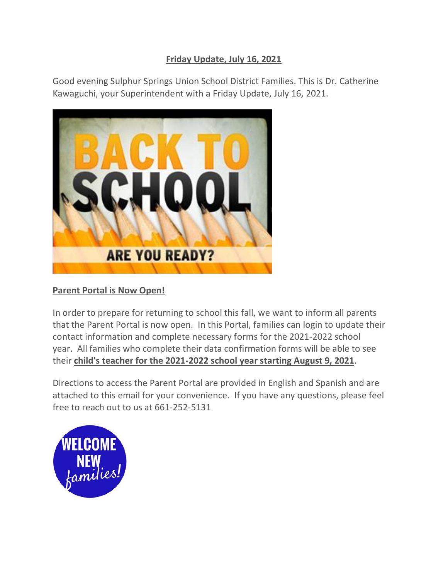## **Friday Update, July 16, 2021**

Good evening Sulphur Springs Union School District Families. This is Dr. Catherine Kawaguchi, your Superintendent with a Friday Update, July 16, 2021.



## **Parent Portal is Now Open!**

In order to prepare for returning to school this fall, we want to inform all parents that the Parent Portal is now open. In this Portal, families can login to update their contact information and complete necessary forms for the 2021-2022 school year. All families who complete their data confirmation forms will be able to see their **child's teacher for the 2021-2022 school year starting August 9, 2021**.

Directions to access the Parent Portal are provided in English and Spanish and are attached to this email for your convenience. If you have any questions, please feel free to reach out to us at 661-252-5131